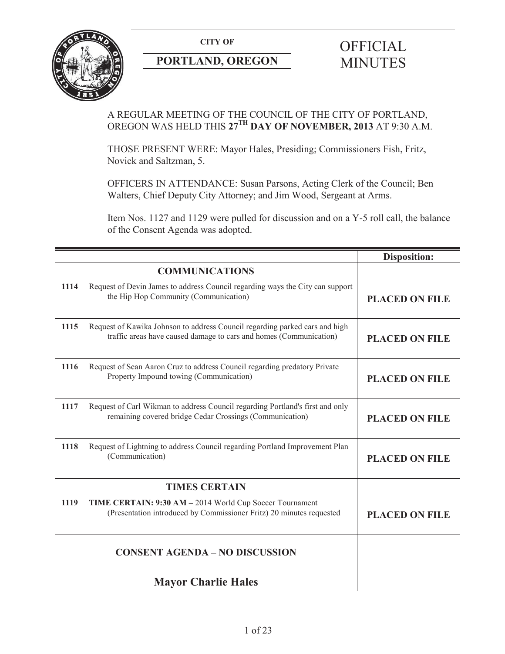

# **PORTLAND, OREGON MINUTES**

# **CITY OF** OFFICIAL

# A REGULAR MEETING OF THE COUNCIL OF THE CITY OF PORTLAND, OREGON WAS HELD THIS **27TH DAY OF NOVEMBER, 2013** AT 9:30 A.M.

THOSE PRESENT WERE: Mayor Hales, Presiding; Commissioners Fish, Fritz, Novick and Saltzman, 5.

OFFICERS IN ATTENDANCE: Susan Parsons, Acting Clerk of the Council; Ben Walters, Chief Deputy City Attorney; and Jim Wood, Sergeant at Arms.

Item Nos. 1127 and 1129 were pulled for discussion and on a Y-5 roll call, the balance of the Consent Agenda was adopted.

|      |                                                                                                                                                   | <b>Disposition:</b>   |
|------|---------------------------------------------------------------------------------------------------------------------------------------------------|-----------------------|
|      | <b>COMMUNICATIONS</b>                                                                                                                             |                       |
| 1114 | Request of Devin James to address Council regarding ways the City can support<br>the Hip Hop Community (Communication)                            | <b>PLACED ON FILE</b> |
| 1115 | Request of Kawika Johnson to address Council regarding parked cars and high<br>traffic areas have caused damage to cars and homes (Communication) | <b>PLACED ON FILE</b> |
| 1116 | Request of Sean Aaron Cruz to address Council regarding predatory Private<br>Property Impound towing (Communication)                              | <b>PLACED ON FILE</b> |
| 1117 | Request of Carl Wikman to address Council regarding Portland's first and only<br>remaining covered bridge Cedar Crossings (Communication)         | <b>PLACED ON FILE</b> |
| 1118 | Request of Lightning to address Council regarding Portland Improvement Plan<br>(Communication)                                                    | <b>PLACED ON FILE</b> |
|      | <b>TIMES CERTAIN</b>                                                                                                                              |                       |
| 1119 | TIME CERTAIN: 9:30 AM - 2014 World Cup Soccer Tournament<br>(Presentation introduced by Commissioner Fritz) 20 minutes requested                  | <b>PLACED ON FILE</b> |
|      | <b>CONSENT AGENDA - NO DISCUSSION</b>                                                                                                             |                       |
|      | <b>Mayor Charlie Hales</b>                                                                                                                        |                       |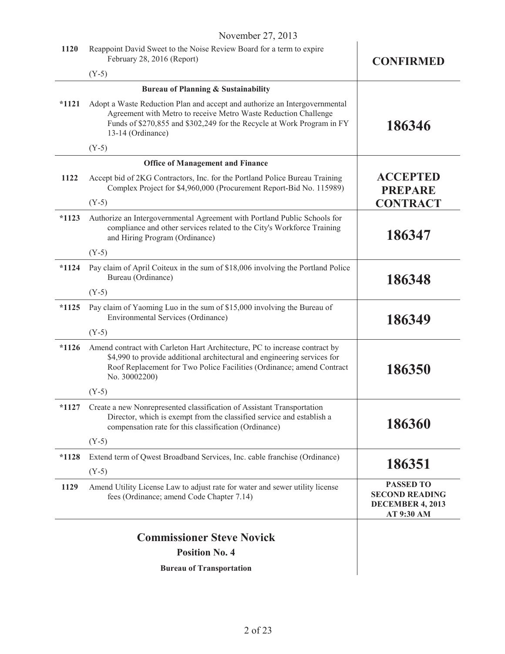|         | $1$ v v v chilove $2/1, 2013$                                                                                                                                                                                                                    |                                                                             |
|---------|--------------------------------------------------------------------------------------------------------------------------------------------------------------------------------------------------------------------------------------------------|-----------------------------------------------------------------------------|
| 1120    | Reappoint David Sweet to the Noise Review Board for a term to expire<br>February 28, 2016 (Report)                                                                                                                                               | <b>CONFIRMED</b>                                                            |
|         | $(Y-5)$                                                                                                                                                                                                                                          |                                                                             |
|         | <b>Bureau of Planning &amp; Sustainability</b>                                                                                                                                                                                                   |                                                                             |
| $*1121$ | Adopt a Waste Reduction Plan and accept and authorize an Intergovernmental<br>Agreement with Metro to receive Metro Waste Reduction Challenge<br>Funds of \$270,855 and \$302,249 for the Recycle at Work Program in FY<br>13-14 (Ordinance)     | 186346                                                                      |
|         | $(Y-5)$                                                                                                                                                                                                                                          |                                                                             |
|         | <b>Office of Management and Finance</b>                                                                                                                                                                                                          |                                                                             |
| 1122    | Accept bid of 2KG Contractors, Inc. for the Portland Police Bureau Training<br>Complex Project for \$4,960,000 (Procurement Report-Bid No. 115989)                                                                                               | <b>ACCEPTED</b><br><b>PREPARE</b>                                           |
|         | $(Y-5)$                                                                                                                                                                                                                                          | <b>CONTRACT</b>                                                             |
| $*1123$ | Authorize an Intergovernmental Agreement with Portland Public Schools for<br>compliance and other services related to the City's Workforce Training<br>and Hiring Program (Ordinance)                                                            | 186347                                                                      |
|         | $(Y-5)$                                                                                                                                                                                                                                          |                                                                             |
| $*1124$ | Pay claim of April Coiteux in the sum of \$18,006 involving the Portland Police<br>Bureau (Ordinance)                                                                                                                                            | 186348                                                                      |
|         | $(Y-5)$                                                                                                                                                                                                                                          |                                                                             |
| $*1125$ | Pay claim of Yaoming Luo in the sum of \$15,000 involving the Bureau of<br>Environmental Services (Ordinance)                                                                                                                                    | 186349                                                                      |
|         | $(Y-5)$                                                                                                                                                                                                                                          |                                                                             |
| $*1126$ | Amend contract with Carleton Hart Architecture, PC to increase contract by<br>\$4,990 to provide additional architectural and engineering services for<br>Roof Replacement for Two Police Facilities (Ordinance; amend Contract<br>No. 30002200) | 186350                                                                      |
|         | $(Y-5)$                                                                                                                                                                                                                                          |                                                                             |
| $*1127$ | Create a new Nonrepresented classification of Assistant Transportation<br>Director, which is exempt from the classified service and establish a<br>compensation rate for this classification (Ordinance)                                         | 186360                                                                      |
|         | $(Y-5)$                                                                                                                                                                                                                                          |                                                                             |
| $*1128$ | Extend term of Qwest Broadband Services, Inc. cable franchise (Ordinance)                                                                                                                                                                        |                                                                             |
|         | $(Y-5)$                                                                                                                                                                                                                                          | 186351                                                                      |
| 1129    | Amend Utility License Law to adjust rate for water and sewer utility license<br>fees (Ordinance; amend Code Chapter 7.14)                                                                                                                        | <b>PASSED TO</b><br><b>SECOND READING</b><br>DECEMBER 4, 2013<br>AT 9:30 AM |
|         |                                                                                                                                                                                                                                                  |                                                                             |
|         | <b>Commissioner Steve Novick</b>                                                                                                                                                                                                                 |                                                                             |
|         | <b>Position No. 4</b>                                                                                                                                                                                                                            |                                                                             |

**Bureau of Transportation** 

 $\begin{array}{c} \hline \end{array}$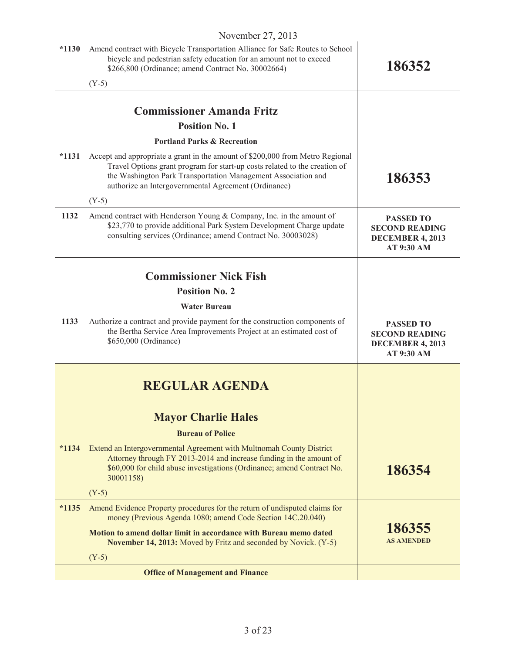| $*1130$ | Amend contract with Bicycle Transportation Alliance for Safe Routes to School<br>bicycle and pedestrian safety education for an amount not to exceed<br>\$266,800 (Ordinance; amend Contract No. 30002664)                                                                           | 186352                                                                             |
|---------|--------------------------------------------------------------------------------------------------------------------------------------------------------------------------------------------------------------------------------------------------------------------------------------|------------------------------------------------------------------------------------|
|         | $(Y-5)$                                                                                                                                                                                                                                                                              |                                                                                    |
|         |                                                                                                                                                                                                                                                                                      |                                                                                    |
|         | <b>Commissioner Amanda Fritz</b>                                                                                                                                                                                                                                                     |                                                                                    |
|         | <b>Position No. 1</b>                                                                                                                                                                                                                                                                |                                                                                    |
|         | <b>Portland Parks &amp; Recreation</b>                                                                                                                                                                                                                                               |                                                                                    |
| $*1131$ | Accept and appropriate a grant in the amount of \$200,000 from Metro Regional<br>Travel Options grant program for start-up costs related to the creation of<br>the Washington Park Transportation Management Association and<br>authorize an Intergovernmental Agreement (Ordinance) | 186353                                                                             |
|         | $(Y-5)$                                                                                                                                                                                                                                                                              |                                                                                    |
| 1132    | Amend contract with Henderson Young & Company, Inc. in the amount of<br>\$23,770 to provide additional Park System Development Charge update<br>consulting services (Ordinance; amend Contract No. 30003028)                                                                         | <b>PASSED TO</b><br><b>SECOND READING</b><br>DECEMBER 4, 2013<br>AT 9:30 AM        |
|         |                                                                                                                                                                                                                                                                                      |                                                                                    |
|         | <b>Commissioner Nick Fish</b>                                                                                                                                                                                                                                                        |                                                                                    |
|         | <b>Position No. 2</b>                                                                                                                                                                                                                                                                |                                                                                    |
|         | <b>Water Bureau</b>                                                                                                                                                                                                                                                                  |                                                                                    |
| 1133    | Authorize a contract and provide payment for the construction components of<br>the Bertha Service Area Improvements Project at an estimated cost of<br>\$650,000 (Ordinance)                                                                                                         | <b>PASSED TO</b><br><b>SECOND READING</b><br><b>DECEMBER 4, 2013</b><br>AT 9:30 AM |
|         |                                                                                                                                                                                                                                                                                      |                                                                                    |
|         | <b>REGULAR AGENDA</b>                                                                                                                                                                                                                                                                |                                                                                    |
|         | <b>Mayor Charlie Hales</b>                                                                                                                                                                                                                                                           |                                                                                    |
|         | <b>Bureau of Police</b>                                                                                                                                                                                                                                                              |                                                                                    |
| $*1134$ | Extend an Intergovernmental Agreement with Multnomah County District<br>Attorney through FY 2013-2014 and increase funding in the amount of<br>\$60,000 for child abuse investigations (Ordinance; amend Contract No.<br>30001158)                                                   | 186354                                                                             |
|         | $(Y-5)$                                                                                                                                                                                                                                                                              |                                                                                    |
| $*1135$ | Amend Evidence Property procedures for the return of undisputed claims for<br>money (Previous Agenda 1080; amend Code Section 14C.20.040)                                                                                                                                            |                                                                                    |
|         | <b>Motion to amend dollar limit in accordance with Bureau memo dated</b><br><b>November 14, 2013:</b> Moved by Fritz and seconded by Novick. (Y-5)                                                                                                                                   | 186355<br><b>AS AMENDED</b>                                                        |
|         | $(Y-5)$                                                                                                                                                                                                                                                                              |                                                                                    |
|         | <b>Office of Management and Finance</b>                                                                                                                                                                                                                                              |                                                                                    |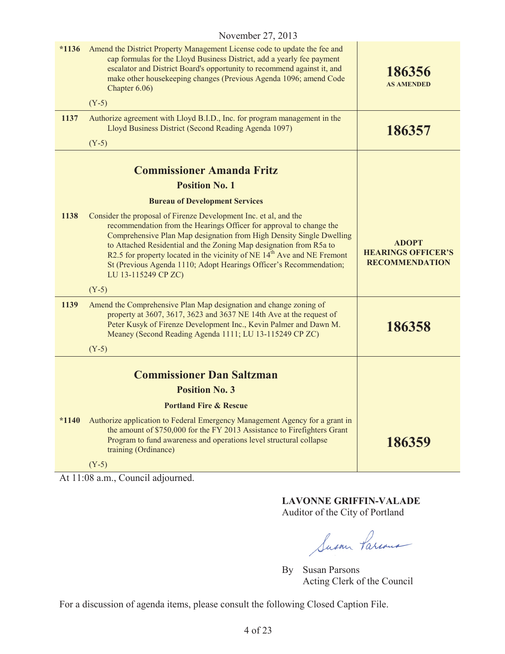| $*1136$ | Amend the District Property Management License code to update the fee and<br>cap formulas for the Lloyd Business District, add a yearly fee payment<br>escalator and District Board's opportunity to recommend against it, and<br>make other housekeeping changes (Previous Agenda 1096; amend Code<br>Chapter 6.06)                                                                                                                                                      | 186356<br><b>AS AMENDED</b>                                        |
|---------|---------------------------------------------------------------------------------------------------------------------------------------------------------------------------------------------------------------------------------------------------------------------------------------------------------------------------------------------------------------------------------------------------------------------------------------------------------------------------|--------------------------------------------------------------------|
|         | $(Y-5)$                                                                                                                                                                                                                                                                                                                                                                                                                                                                   |                                                                    |
| 1137    | Authorize agreement with Lloyd B.I.D., Inc. for program management in the<br>Lloyd Business District (Second Reading Agenda 1097)                                                                                                                                                                                                                                                                                                                                         | 186357                                                             |
|         | $(Y-5)$                                                                                                                                                                                                                                                                                                                                                                                                                                                                   |                                                                    |
|         | <b>Commissioner Amanda Fritz</b>                                                                                                                                                                                                                                                                                                                                                                                                                                          |                                                                    |
|         | <b>Position No. 1</b>                                                                                                                                                                                                                                                                                                                                                                                                                                                     |                                                                    |
|         | <b>Bureau of Development Services</b>                                                                                                                                                                                                                                                                                                                                                                                                                                     |                                                                    |
| 1138    | Consider the proposal of Firenze Development Inc. et al, and the<br>recommendation from the Hearings Officer for approval to change the<br>Comprehensive Plan Map designation from High Density Single Dwelling<br>to Attached Residential and the Zoning Map designation from R5a to<br>R2.5 for property located in the vicinity of NE 14 <sup>th</sup> Ave and NE Fremont<br>St (Previous Agenda 1110; Adopt Hearings Officer's Recommendation;<br>LU 13-115249 CP ZC) | <b>ADOPT</b><br><b>HEARINGS OFFICER'S</b><br><b>RECOMMENDATION</b> |
|         | $(Y-5)$                                                                                                                                                                                                                                                                                                                                                                                                                                                                   |                                                                    |
| 1139    | Amend the Comprehensive Plan Map designation and change zoning of<br>property at 3607, 3617, 3623 and 3637 NE 14th Ave at the request of<br>Peter Kusyk of Firenze Development Inc., Kevin Palmer and Dawn M.<br>Meaney (Second Reading Agenda 1111; LU 13-115249 CP ZC)<br>$(Y-5)$                                                                                                                                                                                       | 186358                                                             |
|         |                                                                                                                                                                                                                                                                                                                                                                                                                                                                           |                                                                    |
|         | <b>Commissioner Dan Saltzman</b>                                                                                                                                                                                                                                                                                                                                                                                                                                          |                                                                    |
|         | <b>Position No. 3</b>                                                                                                                                                                                                                                                                                                                                                                                                                                                     |                                                                    |
|         | <b>Portland Fire &amp; Rescue</b>                                                                                                                                                                                                                                                                                                                                                                                                                                         |                                                                    |
| $*1140$ | Authorize application to Federal Emergency Management Agency for a grant in<br>the amount of \$750,000 for the FY 2013 Assistance to Firefighters Grant<br>Program to fund awareness and operations level structural collapse<br>training (Ordinance)                                                                                                                                                                                                                     | 186359                                                             |
|         | $(Y-5)$                                                                                                                                                                                                                                                                                                                                                                                                                                                                   |                                                                    |

At 11:08 a.m., Council adjourned.

# **LAVONNE GRIFFIN-VALADE**

Auditor of the City of Portland

Susan Parcous

By Susan Parsons Acting Clerk of the Council

For a discussion of agenda items, please consult the following Closed Caption File.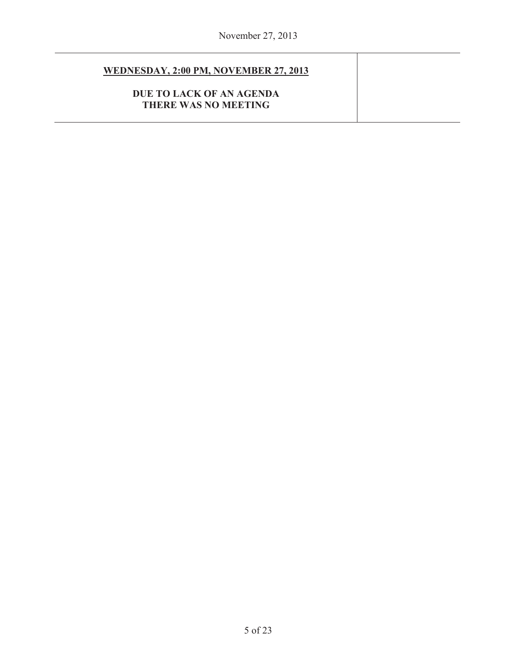# **WEDNESDAY, 2:00 PM, NOVEMBER 27, 2013**

**DUE TO LACK OF AN AGENDA THERE WAS NO MEETING**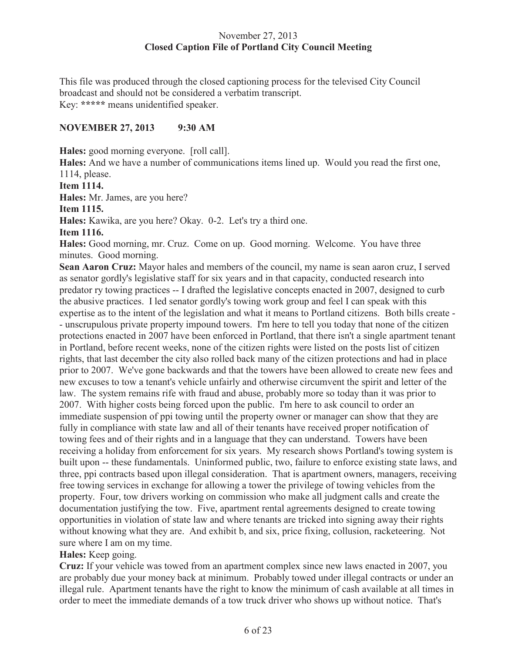## November 27, 2013 **Closed Caption File of Portland City Council Meeting**

This file was produced through the closed captioning process for the televised City Council broadcast and should not be considered a verbatim transcript. Key: **\*\*\*\*\*** means unidentified speaker.

#### **NOVEMBER 27, 2013 9:30 AM**

**Hales:** good morning everyone. [roll call].

**Hales:** And we have a number of communications items lined up. Would you read the first one, 1114, please.

**Item 1114.**

**Hales:** Mr. James, are you here?

**Item 1115.**

**Hales:** Kawika, are you here? Okay. 0-2. Let's try a third one.

**Item 1116.**

**Hales:** Good morning, mr. Cruz. Come on up. Good morning. Welcome. You have three minutes. Good morning.

**Sean Aaron Cruz:** Mayor hales and members of the council, my name is sean aaron cruz, I served as senator gordly's legislative staff for six years and in that capacity, conducted research into predator ry towing practices -- I drafted the legislative concepts enacted in 2007, designed to curb the abusive practices. I led senator gordly's towing work group and feel I can speak with this expertise as to the intent of the legislation and what it means to Portland citizens. Both bills create - - unscrupulous private property impound towers. I'm here to tell you today that none of the citizen protections enacted in 2007 have been enforced in Portland, that there isn't a single apartment tenant in Portland, before recent weeks, none of the citizen rights were listed on the posts list of citizen rights, that last december the city also rolled back many of the citizen protections and had in place prior to 2007. We've gone backwards and that the towers have been allowed to create new fees and new excuses to tow a tenant's vehicle unfairly and otherwise circumvent the spirit and letter of the law. The system remains rife with fraud and abuse, probably more so today than it was prior to 2007. With higher costs being forced upon the public. I'm here to ask council to order an immediate suspension of ppi towing until the property owner or manager can show that they are fully in compliance with state law and all of their tenants have received proper notification of towing fees and of their rights and in a language that they can understand. Towers have been receiving a holiday from enforcement for six years. My research shows Portland's towing system is built upon -- these fundamentals. Uninformed public, two, failure to enforce existing state laws, and three, ppi contracts based upon illegal consideration. That is apartment owners, managers, receiving free towing services in exchange for allowing a tower the privilege of towing vehicles from the property. Four, tow drivers working on commission who make all judgment calls and create the documentation justifying the tow. Five, apartment rental agreements designed to create towing opportunities in violation of state law and where tenants are tricked into signing away their rights without knowing what they are. And exhibit b, and six, price fixing, collusion, racketeering. Not sure where I am on my time.

# **Hales:** Keep going.

**Cruz:** If your vehicle was towed from an apartment complex since new laws enacted in 2007, you are probably due your money back at minimum. Probably towed under illegal contracts or under an illegal rule. Apartment tenants have the right to know the minimum of cash available at all times in order to meet the immediate demands of a tow truck driver who shows up without notice. That's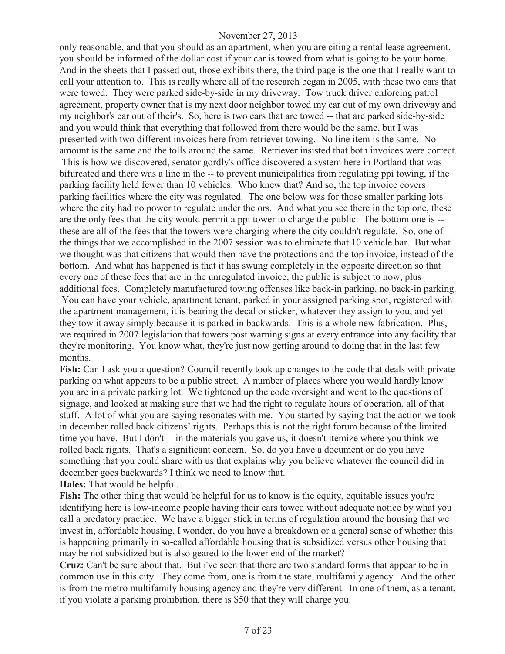only reasonable, and that you should as an apartment, when you are citing a rental lease agreement, you should be informed of the dollar cost if your car is towed from what is going to be your home. And in the sheets that I passed out, those exhibits there, the third page is the one that I really want to call your attention to. This is really where all of the research began in 2005, with these two cars that were towed. They were parked side-by-side in my driveway. Tow truck driver enforcing patrol agreement, property owner that is my next door neighbor towed my car out of my own driveway and my neighbor's car out of their's. So, here is two cars that are towed -- that are parked side-by-side and you would think that everything that followed from there would be the same, but I was presented with two different invoices here from retriever towing. No line item is the same. No amount is the same and the tolls around the same. Retriever insisted that both invoices were correct. This is how we discovered, senator gordly's office discovered a system here in Portland that was bifurcated and there was a line in the -- to prevent municipalities from regulating ppi towing, if the parking facility held fewer than 10 vehicles. Who knew that? And so, the top invoice covers parking facilities where the city was regulated. The one below was for those smaller parking lots where the city had no power to regulate under the ors. And what you see there in the top one, these are the only fees that the city would permit a ppi tower to charge the public. The bottom one is - these are all of the fees that the towers were charging where the city couldn't regulate. So, one of the things that we accomplished in the 2007 session was to eliminate that 10 vehicle bar. But what we thought was that citizens that would then have the protections and the top invoice, instead of the bottom. And what has happened is that it has swung completely in the opposite direction so that every one of these fees that are in the unregulated invoice, the public is subject to now, plus additional fees. Completely manufactured towing offenses like back-in parking, no back-in parking.

You can have your vehicle, apartment tenant, parked in your assigned parking spot, registered with the apartment management, it is bearing the decal or sticker, whatever they assign to you, and yet they tow it away simply because it is parked in backwards. This is a whole new fabrication. Plus, we required in 2007 legislation that towers post warning signs at every entrance into any facility that they're monitoring. You know what, they're just now getting around to doing that in the last few months.

**Fish:** Can I ask you a question? Council recently took up changes to the code that deals with private parking on what appears to be a public street. A number of places where you would hardly know you are in a private parking lot. We tightened up the code oversight and went to the questions of signage, and looked at making sure that we had the right to regulate hours of operation, all of that stuff. A lot of what you are saying resonates with me. You started by saying that the action we took in december rolled back citizens' rights. Perhaps this is not the right forum because of the limited time you have. But I don't -- in the materials you gave us, it doesn't itemize where you think we rolled back rights. That's a significant concern. So, do you have a document or do you have something that you could share with us that explains why you believe whatever the council did in december goes backwards? I think we need to know that.

**Hales:** That would be helpful.

**Fish:** The other thing that would be helpful for us to know is the equity, equitable issues you're identifying here is low-income people having their cars towed without adequate notice by what you call a predatory practice. We have a bigger stick in terms of regulation around the housing that we invest in, affordable housing, I wonder, do you have a breakdown or a general sense of whether this is happening primarily in so-called affordable housing that is subsidized versus other housing that may be not subsidized but is also geared to the lower end of the market?

**Cruz:** Can't be sure about that. But i've seen that there are two standard forms that appear to be in common use in this city. They come from, one is from the state, multifamily agency. And the other is from the metro multifamily housing agency and they're very different. In one of them, as a tenant, if you violate a parking prohibition, there is \$50 that they will charge you.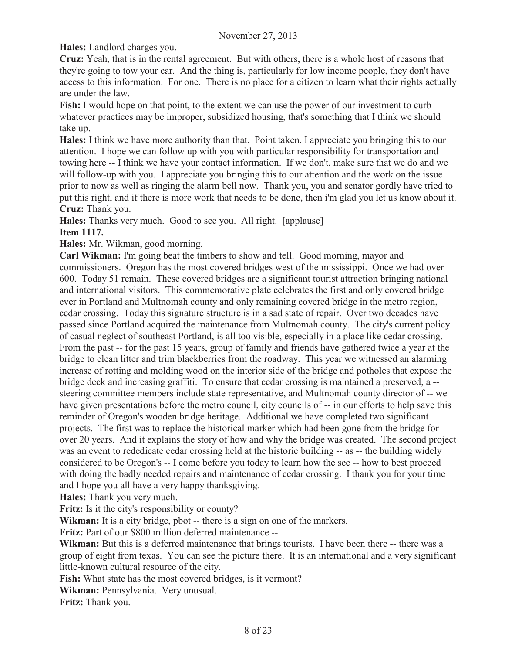**Hales:** Landlord charges you.

**Cruz:** Yeah, that is in the rental agreement. But with others, there is a whole host of reasons that they're going to tow your car. And the thing is, particularly for low income people, they don't have access to this information. For one. There is no place for a citizen to learn what their rights actually are under the law.

**Fish:** I would hope on that point, to the extent we can use the power of our investment to curb whatever practices may be improper, subsidized housing, that's something that I think we should take up.

**Hales:** I think we have more authority than that. Point taken. I appreciate you bringing this to our attention. I hope we can follow up with you with particular responsibility for transportation and towing here -- I think we have your contact information. If we don't, make sure that we do and we will follow-up with you. I appreciate you bringing this to our attention and the work on the issue prior to now as well as ringing the alarm bell now. Thank you, you and senator gordly have tried to put this right, and if there is more work that needs to be done, then i'm glad you let us know about it. **Cruz:** Thank you.

**Hales:** Thanks very much. Good to see you. All right. [applause]

**Item 1117.**

**Hales:** Mr. Wikman, good morning.

**Carl Wikman:** I'm going beat the timbers to show and tell. Good morning, mayor and commissioners. Oregon has the most covered bridges west of the mississippi. Once we had over 600. Today 51 remain. These covered bridges are a significant tourist attraction bringing national and international visitors. This commemorative plate celebrates the first and only covered bridge ever in Portland and Multnomah county and only remaining covered bridge in the metro region, cedar crossing. Today this signature structure is in a sad state of repair. Over two decades have passed since Portland acquired the maintenance from Multnomah county. The city's current policy of casual neglect of southeast Portland, is all too visible, especially in a place like cedar crossing. From the past -- for the past 15 years, group of family and friends have gathered twice a year at the bridge to clean litter and trim blackberries from the roadway. This year we witnessed an alarming increase of rotting and molding wood on the interior side of the bridge and potholes that expose the bridge deck and increasing graffiti. To ensure that cedar crossing is maintained a preserved, a - steering committee members include state representative, and Multnomah county director of -- we have given presentations before the metro council, city councils of -- in our efforts to help save this reminder of Oregon's wooden bridge heritage. Additional we have completed two significant projects. The first was to replace the historical marker which had been gone from the bridge for over 20 years. And it explains the story of how and why the bridge was created. The second project was an event to rededicate cedar crossing held at the historic building -- as -- the building widely considered to be Oregon's -- I come before you today to learn how the see -- how to best proceed with doing the badly needed repairs and maintenance of cedar crossing. I thank you for your time and I hope you all have a very happy thanksgiving.

**Hales:** Thank you very much.

**Fritz:** Is it the city's responsibility or county?

**Wikman:** It is a city bridge, pbot -- there is a sign on one of the markers.

**Fritz:** Part of our \$800 million deferred maintenance --

**Wikman:** But this is a deferred maintenance that brings tourists. I have been there -- there was a group of eight from texas. You can see the picture there. It is an international and a very significant little-known cultural resource of the city.

**Fish:** What state has the most covered bridges, is it vermont?

**Wikman:** Pennsylvania. Very unusual.

**Fritz:** Thank you.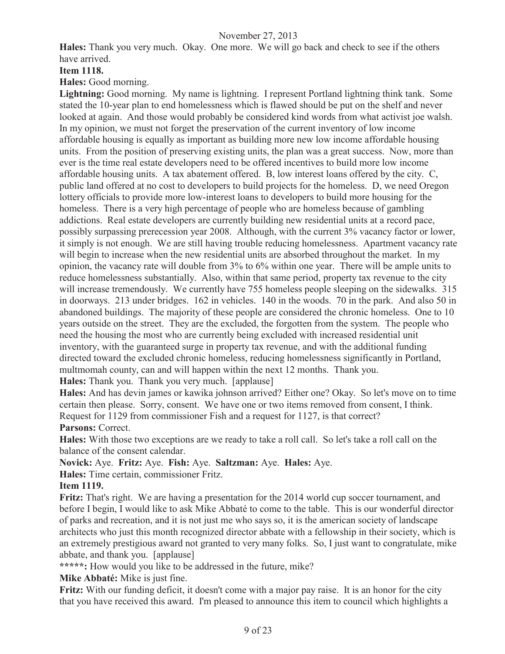**Hales:** Thank you very much. Okay. One more. We will go back and check to see if the others have arrived.

#### **Item 1118.**

**Hales:** Good morning.

**Lightning:** Good morning. My name is lightning. I represent Portland lightning think tank. Some stated the 10-year plan to end homelessness which is flawed should be put on the shelf and never looked at again. And those would probably be considered kind words from what activist joe walsh. In my opinion, we must not forget the preservation of the current inventory of low income affordable housing is equally as important as building more new low income affordable housing units. From the position of preserving existing units, the plan was a great success. Now, more than ever is the time real estate developers need to be offered incentives to build more low income affordable housing units. A tax abatement offered. B, low interest loans offered by the city. C, public land offered at no cost to developers to build projects for the homeless. D, we need Oregon lottery officials to provide more low-interest loans to developers to build more housing for the homeless. There is a very high percentage of people who are homeless because of gambling addictions. Real estate developers are currently building new residential units at a record pace, possibly surpassing prerecession year 2008. Although, with the current 3% vacancy factor or lower, it simply is not enough. We are still having trouble reducing homelessness. Apartment vacancy rate will begin to increase when the new residential units are absorbed throughout the market. In my opinion, the vacancy rate will double from 3% to 6% within one year. There will be ample units to reduce homelessness substantially. Also, within that same period, property tax revenue to the city will increase tremendously. We currently have 755 homeless people sleeping on the sidewalks. 315 in doorways. 213 under bridges. 162 in vehicles. 140 in the woods. 70 in the park. And also 50 in abandoned buildings. The majority of these people are considered the chronic homeless. One to 10 years outside on the street. They are the excluded, the forgotten from the system. The people who need the housing the most who are currently being excluded with increased residential unit inventory, with the guaranteed surge in property tax revenue, and with the additional funding directed toward the excluded chronic homeless, reducing homelessness significantly in Portland, multmomah county, can and will happen within the next 12 months. Thank you.

**Hales:** Thank you. Thank you very much. [applause]

**Hales:** And has devin james or kawika johnson arrived? Either one? Okay. So let's move on to time certain then please. Sorry, consent. We have one or two items removed from consent, I think. Request for 1129 from commissioner Fish and a request for 1127, is that correct? **Parsons:** Correct.

**Hales:** With those two exceptions are we ready to take a roll call. So let's take a roll call on the balance of the consent calendar.

**Novick:** Aye. **Fritz:** Aye. **Fish:** Aye. **Saltzman:** Aye. **Hales:** Aye.

**Hales:** Time certain, commissioner Fritz.

#### **Item 1119.**

**Fritz:** That's right. We are having a presentation for the 2014 world cup soccer tournament, and before I begin, I would like to ask Mike Abbaté to come to the table. This is our wonderful director of parks and recreation, and it is not just me who says so, it is the american society of landscape architects who just this month recognized director abbate with a fellowship in their society, which is an extremely prestigious award not granted to very many folks. So, I just want to congratulate, mike abbate, and thank you. [applause]

**\*\*\*\*\*:** How would you like to be addressed in the future, mike?

**Mike Abbaté:** Mike is just fine.

**Fritz:** With our funding deficit, it doesn't come with a major pay raise. It is an honor for the city that you have received this award. I'm pleased to announce this item to council which highlights a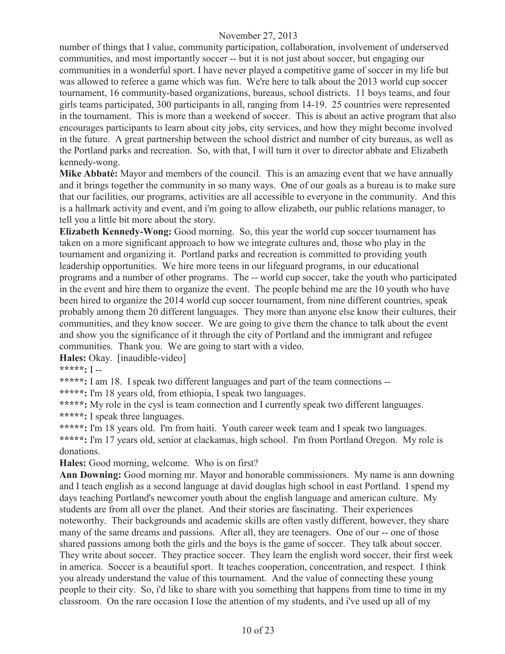number of things that I value, community participation, collaboration, involvement of underserved communities, and most importantly soccer -- but it is not just about soccer, but engaging our communities in a wonderful sport. I have never played a competitive game of soccer in my life but was allowed to referee a game which was fun. We're here to talk about the 2013 world cup soccer tournament, 16 community-based organizations, bureaus, school districts. 11 boys teams, and four girls teams participated, 300 participants in all, ranging from 14-19. 25 countries were represented in the tournament. This is more than a weekend of soccer. This is about an active program that also encourages participants to learn about city jobs, city services, and how they might become involved in the future. A great partnership between the school district and number of city bureaus, as well as the Portland parks and recreation. So, with that, I will turn it over to director abbate and Elizabeth kennedy-wong.

**Mike Abbaté:** Mayor and members of the council. This is an amazing event that we have annually and it brings together the community in so many ways. One of our goals as a bureau is to make sure that our facilities, our programs, activities are all accessible to everyone in the community. And this is a hallmark activity and event, and i'm going to allow elizabeth, our public relations manager, to tell you a little bit more about the story.

**Elizabeth Kennedy-Wong:** Good morning. So, this year the world cup soccer tournament has taken on a more significant approach to how we integrate cultures and, those who play in the tournament and organizing it. Portland parks and recreation is committed to providing youth leadership opportunities. We hire more teens in our lifeguard programs, in our educational programs and a number of other programs. The -- world cup soccer, take the youth who participated in the event and hire them to organize the event. The people behind me are the 10 youth who have been hired to organize the 2014 world cup soccer tournament, from nine different countries, speak probably among them 20 different languages. They more than anyone else know their cultures, their communities, and they know soccer. We are going to give them the chance to talk about the event and show you the significance of it through the city of Portland and the immigrant and refugee communities. Thank you. We are going to start with a video.

**Hales:** Okay. [inaudible-video]

**\*\*\*\*\*:** I --

**\*\*\*\*\*:** I am 18. I speak two different languages and part of the team connections --

**\*\*\*\*\*:** I'm 18 years old, from ethiopia, I speak two languages.

\*\*\*\*\*: My role in the cysl is team connection and I currently speak two different languages. **\*\*\*\*\*:** I speak three languages.

**\*\*\*\*\*:** I'm 18 years old. I'm from haiti. Youth career week team and I speak two languages. **\*\*\*\*\*:** I'm 17 years old, senior at clackamas, high school. I'm from Portland Oregon. My role is donations.

**Hales:** Good morning, welcome. Who is on first?

**Ann Downing:** Good morning mr. Mayor and honorable commissioners. My name is ann downing and I teach english as a second language at david douglas high school in east Portland. I spend my days teaching Portland's newcomer youth about the english language and american culture. My students are from all over the planet. And their stories are fascinating. Their experiences noteworthy. Their backgrounds and academic skills are often vastly different, however, they share many of the same dreams and passions. After all, they are teenagers. One of our -- one of those shared passions among both the girls and the boys is the game of soccer. They talk about soccer. They write about soccer. They practice soccer. They learn the english word soccer, their first week in america. Soccer is a beautiful sport. It teaches cooperation, concentration, and respect. I think you already understand the value of this tournament. And the value of connecting these young people to their city. So, i'd like to share with you something that happens from time to time in my classroom. On the rare occasion I lose the attention of my students, and i've used up all of my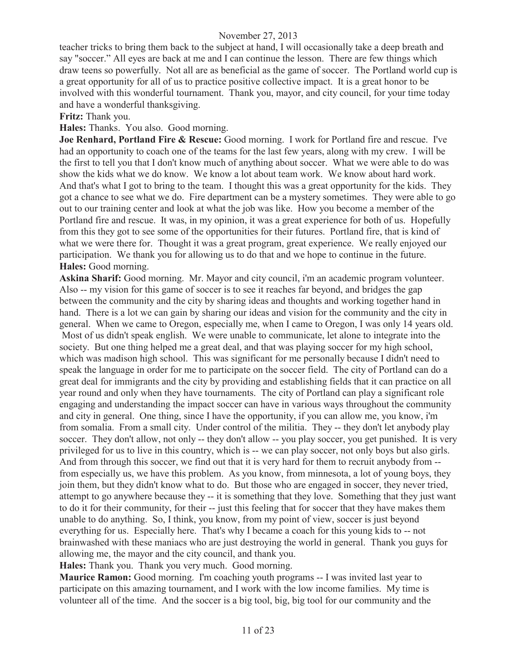teacher tricks to bring them back to the subject at hand, I will occasionally take a deep breath and say "soccer." All eyes are back at me and I can continue the lesson. There are few things which draw teens so powerfully. Not all are as beneficial as the game of soccer. The Portland world cup is a great opportunity for all of us to practice positive collective impact. It is a great honor to be involved with this wonderful tournament. Thank you, mayor, and city council, for your time today and have a wonderful thanksgiving.

**Fritz:** Thank you.

**Hales:** Thanks. You also. Good morning.

**Joe Renhard, Portland Fire & Rescue:** Good morning. I work for Portland fire and rescue. I've had an opportunity to coach one of the teams for the last few years, along with my crew. I will be the first to tell you that I don't know much of anything about soccer. What we were able to do was show the kids what we do know. We know a lot about team work. We know about hard work. And that's what I got to bring to the team. I thought this was a great opportunity for the kids. They got a chance to see what we do. Fire department can be a mystery sometimes. They were able to go out to our training center and look at what the job was like. How you become a member of the Portland fire and rescue. It was, in my opinion, it was a great experience for both of us. Hopefully from this they got to see some of the opportunities for their futures. Portland fire, that is kind of what we were there for. Thought it was a great program, great experience. We really enjoyed our participation. We thank you for allowing us to do that and we hope to continue in the future. **Hales:** Good morning.

**Askina Sharif:** Good morning. Mr. Mayor and city council, i'm an academic program volunteer. Also -- my vision for this game of soccer is to see it reaches far beyond, and bridges the gap between the community and the city by sharing ideas and thoughts and working together hand in hand. There is a lot we can gain by sharing our ideas and vision for the community and the city in general. When we came to Oregon, especially me, when I came to Oregon, I was only 14 years old. Most of us didn't speak english. We were unable to communicate, let alone to integrate into the society. But one thing helped me a great deal, and that was playing soccer for my high school, which was madison high school. This was significant for me personally because I didn't need to speak the language in order for me to participate on the soccer field. The city of Portland can do a great deal for immigrants and the city by providing and establishing fields that it can practice on all year round and only when they have tournaments. The city of Portland can play a significant role engaging and understanding the impact soccer can have in various ways throughout the community and city in general. One thing, since I have the opportunity, if you can allow me, you know, i'm from somalia. From a small city. Under control of the militia. They -- they don't let anybody play soccer. They don't allow, not only -- they don't allow -- you play soccer, you get punished. It is very privileged for us to live in this country, which is -- we can play soccer, not only boys but also girls. And from through this soccer, we find out that it is very hard for them to recruit anybody from - from especially us, we have this problem. As you know, from minnesota, a lot of young boys, they join them, but they didn't know what to do. But those who are engaged in soccer, they never tried, attempt to go anywhere because they -- it is something that they love. Something that they just want to do it for their community, for their -- just this feeling that for soccer that they have makes them unable to do anything. So, I think, you know, from my point of view, soccer is just beyond everything for us. Especially here. That's why I became a coach for this young kids to -- not brainwashed with these maniacs who are just destroying the world in general. Thank you guys for allowing me, the mayor and the city council, and thank you.

**Hales:** Thank you. Thank you very much. Good morning.

**Maurice Ramon:** Good morning. I'm coaching youth programs -- I was invited last year to participate on this amazing tournament, and I work with the low income families. My time is volunteer all of the time. And the soccer is a big tool, big, big tool for our community and the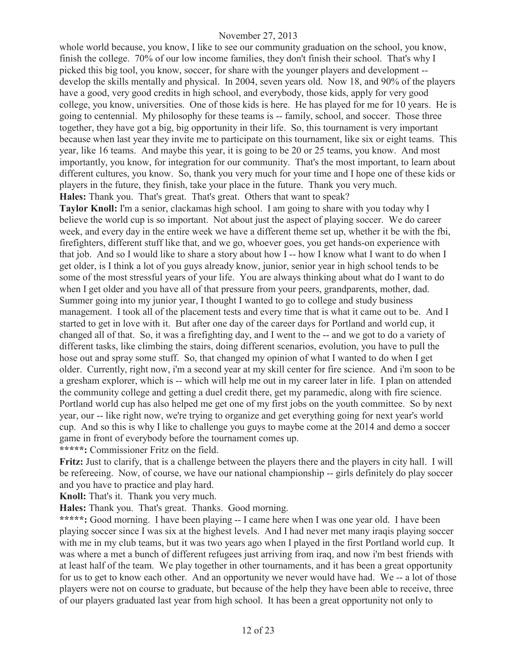whole world because, you know, I like to see our community graduation on the school, you know, finish the college. 70% of our low income families, they don't finish their school. That's why I picked this big tool, you know, soccer, for share with the younger players and development - develop the skills mentally and physical. In 2004, seven years old. Now 18, and 90% of the players have a good, very good credits in high school, and everybody, those kids, apply for very good college, you know, universities. One of those kids is here. He has played for me for 10 years. He is going to centennial. My philosophy for these teams is -- family, school, and soccer. Those three together, they have got a big, big opportunity in their life. So, this tournament is very important because when last year they invite me to participate on this tournament, like six or eight teams. This year, like 16 teams. And maybe this year, it is going to be 20 or 25 teams, you know. And most importantly, you know, for integration for our community. That's the most important, to learn about different cultures, you know. So, thank you very much for your time and I hope one of these kids or players in the future, they finish, take your place in the future. Thank you very much. **Hales:** Thank you. That's great. That's great. Others that want to speak?

**Taylor Knoll:** I'm a senior, clackamas high school. I am going to share with you today why I believe the world cup is so important. Not about just the aspect of playing soccer. We do career week, and every day in the entire week we have a different theme set up, whether it be with the fbi, firefighters, different stuff like that, and we go, whoever goes, you get hands-on experience with that job. And so I would like to share a story about how I -- how I know what I want to do when I get older, is I think a lot of you guys already know, junior, senior year in high school tends to be some of the most stressful years of your life. You are always thinking about what do I want to do when I get older and you have all of that pressure from your peers, grandparents, mother, dad. Summer going into my junior year, I thought I wanted to go to college and study business management. I took all of the placement tests and every time that is what it came out to be. And I started to get in love with it. But after one day of the career days for Portland and world cup, it changed all of that. So, it was a firefighting day, and I went to the -- and we got to do a variety of different tasks, like climbing the stairs, doing different scenarios, evolution, you have to pull the hose out and spray some stuff. So, that changed my opinion of what I wanted to do when I get older. Currently, right now, i'm a second year at my skill center for fire science. And i'm soon to be a gresham explorer, which is -- which will help me out in my career later in life. I plan on attended the community college and getting a duel credit there, get my paramedic, along with fire science. Portland world cup has also helped me get one of my first jobs on the youth committee. So by next year, our -- like right now, we're trying to organize and get everything going for next year's world cup. And so this is why I like to challenge you guys to maybe come at the 2014 and demo a soccer game in front of everybody before the tournament comes up.

**\*\*\*\*\*:** Commissioner Fritz on the field.

**Fritz:** Just to clarify, that is a challenge between the players there and the players in city hall. I will be refereeing. Now, of course, we have our national championship -- girls definitely do play soccer and you have to practice and play hard.

**Knoll:** That's it. Thank you very much.

**Hales:** Thank you. That's great. Thanks. Good morning.

\*\*\*\*\*: Good morning. I have been playing -- I came here when I was one year old. I have been playing soccer since I was six at the highest levels. And I had never met many iraqis playing soccer with me in my club teams, but it was two years ago when I played in the first Portland world cup. It was where a met a bunch of different refugees just arriving from iraq, and now i'm best friends with at least half of the team. We play together in other tournaments, and it has been a great opportunity for us to get to know each other. And an opportunity we never would have had. We -- a lot of those players were not on course to graduate, but because of the help they have been able to receive, three of our players graduated last year from high school. It has been a great opportunity not only to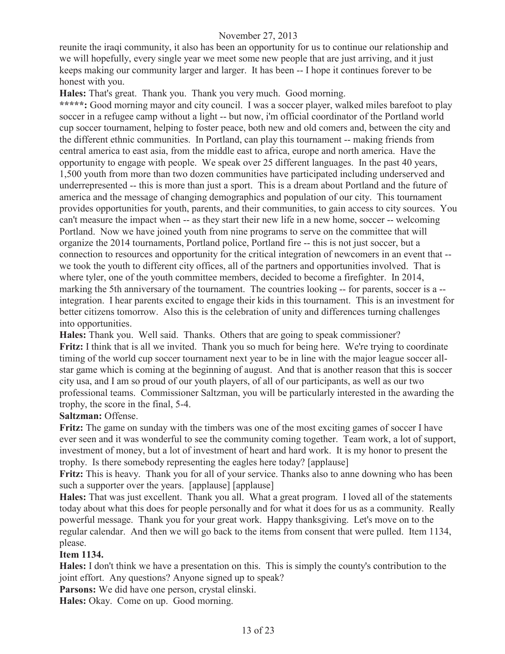reunite the iraqi community, it also has been an opportunity for us to continue our relationship and we will hopefully, every single year we meet some new people that are just arriving, and it just keeps making our community larger and larger. It has been -- I hope it continues forever to be honest with you.

**Hales:** That's great. Thank you. Thank you very much. Good morning.

\*\*\*\*\*: Good morning mayor and city council. I was a soccer player, walked miles barefoot to play soccer in a refugee camp without a light -- but now, i'm official coordinator of the Portland world cup soccer tournament, helping to foster peace, both new and old comers and, between the city and the different ethnic communities. In Portland, can play this tournament -- making friends from central america to east asia, from the middle east to africa, europe and north america. Have the opportunity to engage with people. We speak over 25 different languages. In the past 40 years, 1,500 youth from more than two dozen communities have participated including underserved and underrepresented -- this is more than just a sport. This is a dream about Portland and the future of america and the message of changing demographics and population of our city. This tournament provides opportunities for youth, parents, and their communities, to gain access to city sources. You can't measure the impact when -- as they start their new life in a new home, soccer -- welcoming Portland. Now we have joined youth from nine programs to serve on the committee that will organize the 2014 tournaments, Portland police, Portland fire -- this is not just soccer, but a connection to resources and opportunity for the critical integration of newcomers in an event that - we took the youth to different city offices, all of the partners and opportunities involved. That is where tyler, one of the youth committee members, decided to become a firefighter. In 2014, marking the 5th anniversary of the tournament. The countries looking -- for parents, soccer is a - integration. I hear parents excited to engage their kids in this tournament. This is an investment for better citizens tomorrow. Also this is the celebration of unity and differences turning challenges into opportunities.

**Hales:** Thank you. Well said. Thanks. Others that are going to speak commissioner? **Fritz:** I think that is all we invited. Thank you so much for being here. We're trying to coordinate timing of the world cup soccer tournament next year to be in line with the major league soccer allstar game which is coming at the beginning of august. And that is another reason that this is soccer city usa, and I am so proud of our youth players, of all of our participants, as well as our two professional teams. Commissioner Saltzman, you will be particularly interested in the awarding the trophy, the score in the final, 5-4.

#### **Saltzman:** Offense.

**Fritz:** The game on sunday with the timbers was one of the most exciting games of soccer I have ever seen and it was wonderful to see the community coming together. Team work, a lot of support, investment of money, but a lot of investment of heart and hard work. It is my honor to present the trophy. Is there somebody representing the eagles here today? [applause]

**Fritz:** This is heavy. Thank you for all of your service. Thanks also to anne downing who has been such a supporter over the years. [applause] [applause]

**Hales:** That was just excellent. Thank you all. What a great program. I loved all of the statements today about what this does for people personally and for what it does for us as a community. Really powerful message. Thank you for your great work. Happy thanksgiving. Let's move on to the regular calendar. And then we will go back to the items from consent that were pulled. Item 1134, please.

#### **Item 1134.**

**Hales:** I don't think we have a presentation on this. This is simply the county's contribution to the joint effort. Any questions? Anyone signed up to speak?

**Parsons:** We did have one person, crystal elinski.

**Hales:** Okay. Come on up. Good morning.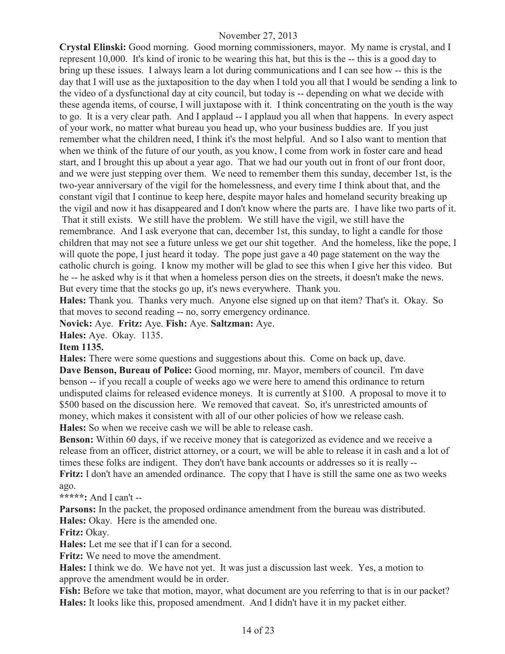**Crystal Elinski:** Good morning. Good morning commissioners, mayor. My name is crystal, and I represent 10,000. It's kind of ironic to be wearing this hat, but this is the -- this is a good day to bring up these issues. I always learn a lot during communications and I can see how -- this is the day that I will use as the juxtaposition to the day when I told you all that I would be sending a link to the video of a dysfunctional day at city council, but today is -- depending on what we decide with these agenda items, of course, I will juxtapose with it. I think concentrating on the youth is the way to go. It is a very clear path. And I applaud -- I applaud you all when that happens. In every aspect of your work, no matter what bureau you head up, who your business buddies are. If you just remember what the children need, I think it's the most helpful. And so I also want to mention that when we think of the future of our youth, as you know, I come from work in foster care and head start, and I brought this up about a year ago. That we had our youth out in front of our front door, and we were just stepping over them. We need to remember them this sunday, december 1st, is the two-year anniversary of the vigil for the homelessness, and every time I think about that, and the constant vigil that I continue to keep here, despite mayor hales and homeland security breaking up the vigil and now it has disappeared and I don't know where the parts are. I have like two parts of it.

That it still exists. We still have the problem. We still have the vigil, we still have the remembrance. And I ask everyone that can, december 1st, this sunday, to light a candle for those children that may not see a future unless we get our shit together. And the homeless, like the pope, I will quote the pope, I just heard it today. The pope just gave a 40 page statement on the way the catholic church is going. I know my mother will be glad to see this when I give her this video. But he -- he asked why is it that when a homeless person dies on the streets, it doesn't make the news. But every time that the stocks go up, it's news everywhere. Thank you.

**Hales:** Thank you. Thanks very much. Anyone else signed up on that item? That's it. Okay. So that moves to second reading -- no, sorry emergency ordinance.

**Novick:** Aye. **Fritz:** Aye. **Fish:** Aye. **Saltzman:** Aye.

**Hales:** Aye. Okay. 1135.

#### **Item 1135.**

**Hales:** There were some questions and suggestions about this. Come on back up, dave. **Dave Benson, Bureau of Police:** Good morning, mr. Mayor, members of council. I'm dave benson -- if you recall a couple of weeks ago we were here to amend this ordinance to return undisputed claims for released evidence moneys. It is currently at \$100. A proposal to move it to \$500 based on the discussion here. We removed that caveat. So, it's unrestricted amounts of money, which makes it consistent with all of our other policies of how we release cash. **Hales:** So when we receive cash we will be able to release cash.

**Benson:** Within 60 days, if we receive money that is categorized as evidence and we receive a release from an officer, district attorney, or a court, we will be able to release it in cash and a lot of times these folks are indigent. They don't have bank accounts or addresses so it is really -- **Fritz:** I don't have an amended ordinance. The copy that I have is still the same one as two weeks ago.

**\*\*\*\*\*:** And I can't --

**Parsons:** In the packet, the proposed ordinance amendment from the bureau was distributed. **Hales:** Okay. Here is the amended one.

**Fritz:** Okay.

**Hales:** Let me see that if I can for a second.

**Fritz:** We need to move the amendment.

**Hales:** I think we do. We have not yet. It was just a discussion last week. Yes, a motion to approve the amendment would be in order.

**Fish:** Before we take that motion, mayor, what document are you referring to that is in our packet? **Hales:** It looks like this, proposed amendment. And I didn't have it in my packet either.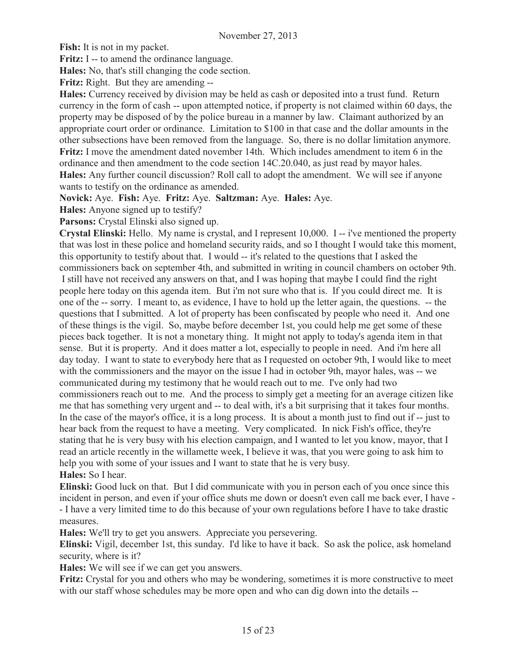**Fish:** It is not in my packet.

**Fritz:** I -- to amend the ordinance language.

**Hales:** No, that's still changing the code section.

**Fritz:** Right. But they are amending --

**Hales:** Currency received by division may be held as cash or deposited into a trust fund. Return currency in the form of cash -- upon attempted notice, if property is not claimed within 60 days, the property may be disposed of by the police bureau in a manner by law. Claimant authorized by an appropriate court order or ordinance. Limitation to \$100 in that case and the dollar amounts in the other subsections have been removed from the language. So, there is no dollar limitation anymore. **Fritz:** I move the amendment dated november 14th. Which includes amendment to item 6 in the ordinance and then amendment to the code section 14C.20.040, as just read by mayor hales. **Hales:** Any further council discussion? Roll call to adopt the amendment. We will see if anyone wants to testify on the ordinance as amended.

**Novick:** Aye. **Fish:** Aye. **Fritz:** Aye. **Saltzman:** Aye. **Hales:** Aye.

**Hales:** Anyone signed up to testify?

**Parsons:** Crystal Elinski also signed up.

**Crystal Elinski:** Hello. My name is crystal, and I represent 10,000. I -- i've mentioned the property that was lost in these police and homeland security raids, and so I thought I would take this moment, this opportunity to testify about that. I would -- it's related to the questions that I asked the commissioners back on september 4th, and submitted in writing in council chambers on october 9th. I still have not received any answers on that, and I was hoping that maybe I could find the right people here today on this agenda item. But i'm not sure who that is. If you could direct me. It is one of the -- sorry. I meant to, as evidence, I have to hold up the letter again, the questions. -- the questions that I submitted. A lot of property has been confiscated by people who need it. And one of these things is the vigil. So, maybe before december 1st, you could help me get some of these pieces back together. It is not a monetary thing. It might not apply to today's agenda item in that sense. But it is property. And it does matter a lot, especially to people in need. And i'm here all day today. I want to state to everybody here that as I requested on october 9th, I would like to meet with the commissioners and the mayor on the issue I had in october 9th, mayor hales, was -- we communicated during my testimony that he would reach out to me. I've only had two commissioners reach out to me. And the process to simply get a meeting for an average citizen like me that has something very urgent and -- to deal with, it's a bit surprising that it takes four months. In the case of the mayor's office, it is a long process. It is about a month just to find out if -- just to hear back from the request to have a meeting. Very complicated. In nick Fish's office, they're stating that he is very busy with his election campaign, and I wanted to let you know, mayor, that I read an article recently in the willamette week, I believe it was, that you were going to ask him to help you with some of your issues and I want to state that he is very busy. **Hales:** So I hear.

**Elinski:** Good luck on that. But I did communicate with you in person each of you once since this incident in person, and even if your office shuts me down or doesn't even call me back ever, I have - - I have a very limited time to do this because of your own regulations before I have to take drastic measures.

**Hales:** We'll try to get you answers. Appreciate you persevering.

**Elinski:** Vigil, december 1st, this sunday. I'd like to have it back. So ask the police, ask homeland security, where is it?

**Hales:** We will see if we can get you answers.

**Fritz:** Crystal for you and others who may be wondering, sometimes it is more constructive to meet with our staff whose schedules may be more open and who can dig down into the details --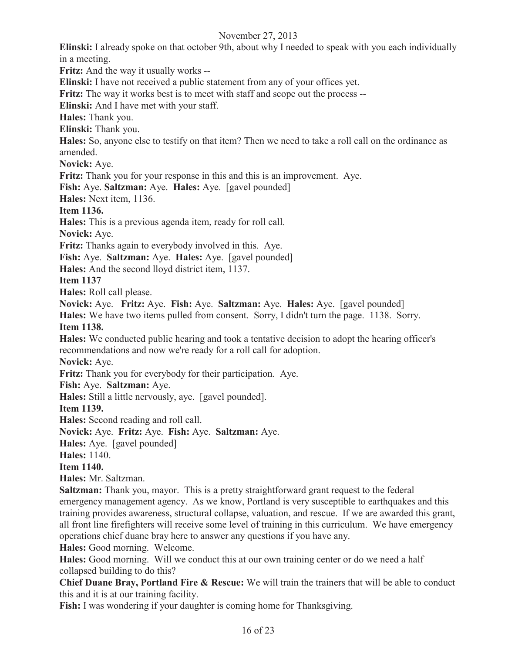**Elinski:** I already spoke on that october 9th, about why I needed to speak with you each individually in a meeting.

**Fritz:** And the way it usually works --

**Elinski:** I have not received a public statement from any of your offices yet.

**Fritz:** The way it works best is to meet with staff and scope out the process --

**Elinski:** And I have met with your staff.

**Hales:** Thank you.

**Elinski:** Thank you.

**Hales:** So, anyone else to testify on that item? Then we need to take a roll call on the ordinance as amended.

**Novick:** Aye.

**Fritz:** Thank you for your response in this and this is an improvement. Aye.

**Fish:** Aye. **Saltzman:** Aye. **Hales:** Aye. [gavel pounded]

**Hales:** Next item, 1136.

**Item 1136.**

**Hales:** This is a previous agenda item, ready for roll call.

**Novick:** Aye.

**Fritz:** Thanks again to everybody involved in this. Aye.

**Fish:** Aye. **Saltzman:** Aye. **Hales:** Aye. [gavel pounded]

**Hales:** And the second lloyd district item, 1137.

**Item 1137** 

**Hales:** Roll call please.

**Novick:** Aye. **Fritz:** Aye. **Fish:** Aye. **Saltzman:** Aye. **Hales:** Aye. [gavel pounded]

**Hales:** We have two items pulled from consent. Sorry, I didn't turn the page. 1138. Sorry. **Item 1138.**

**Hales:** We conducted public hearing and took a tentative decision to adopt the hearing officer's recommendations and now we're ready for a roll call for adoption.

**Novick:** Aye.

**Fritz:** Thank you for everybody for their participation. Aye.

**Fish:** Aye. **Saltzman:** Aye.

**Hales:** Still a little nervously, aye. [gavel pounded].

**Item 1139.**

**Hales:** Second reading and roll call.

**Novick:** Aye. **Fritz:** Aye. **Fish:** Aye. **Saltzman:** Aye.

**Hales:** Aye. [gavel pounded]

**Hales:** 1140.

**Item 1140.**

**Hales:** Mr. Saltzman.

**Saltzman:** Thank you, mayor. This is a pretty straightforward grant request to the federal emergency management agency. As we know, Portland is very susceptible to earthquakes and this training provides awareness, structural collapse, valuation, and rescue. If we are awarded this grant, all front line firefighters will receive some level of training in this curriculum. We have emergency operations chief duane bray here to answer any questions if you have any.

**Hales:** Good morning. Welcome.

**Hales:** Good morning. Will we conduct this at our own training center or do we need a half collapsed building to do this?

**Chief Duane Bray, Portland Fire & Rescue:** We will train the trainers that will be able to conduct this and it is at our training facility.

**Fish:** I was wondering if your daughter is coming home for Thanksgiving.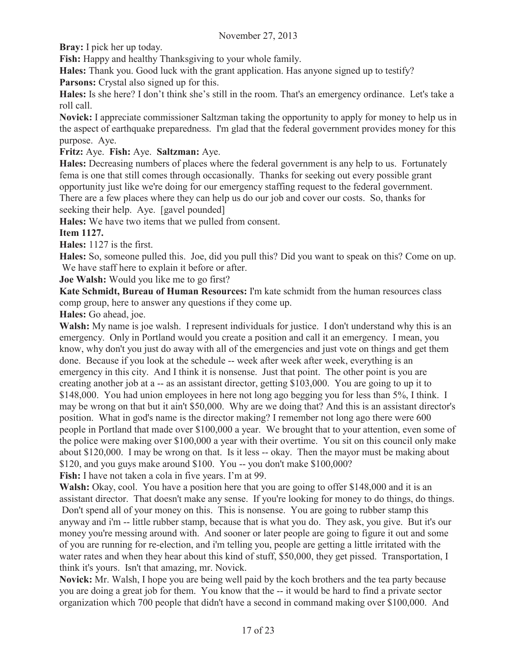**Bray:** I pick her up today.

**Fish:** Happy and healthy Thanksgiving to your whole family.

**Hales:** Thank you. Good luck with the grant application. Has anyone signed up to testify?

**Parsons:** Crystal also signed up for this.

**Hales:** Is she here? I don't think she's still in the room. That's an emergency ordinance. Let's take a roll call.

**Novick:** I appreciate commissioner Saltzman taking the opportunity to apply for money to help us in the aspect of earthquake preparedness. I'm glad that the federal government provides money for this purpose. Aye.

**Fritz:** Aye. **Fish:** Aye. **Saltzman:** Aye.

**Hales:** Decreasing numbers of places where the federal government is any help to us. Fortunately fema is one that still comes through occasionally. Thanks for seeking out every possible grant opportunity just like we're doing for our emergency staffing request to the federal government. There are a few places where they can help us do our job and cover our costs. So, thanks for seeking their help. Aye. [gavel pounded]

**Hales:** We have two items that we pulled from consent.

**Item 1127.**

**Hales:** 1127 is the first.

**Hales:** So, someone pulled this. Joe, did you pull this? Did you want to speak on this? Come on up. We have staff here to explain it before or after.

**Joe Walsh:** Would you like me to go first?

**Kate Schmidt, Bureau of Human Resources:** I'm kate schmidt from the human resources class comp group, here to answer any questions if they come up.

**Hales:** Go ahead, joe.

**Walsh:** My name is joe walsh. I represent individuals for justice. I don't understand why this is an emergency. Only in Portland would you create a position and call it an emergency. I mean, you know, why don't you just do away with all of the emergencies and just vote on things and get them done. Because if you look at the schedule -- week after week after week, everything is an emergency in this city. And I think it is nonsense. Just that point. The other point is you are creating another job at a -- as an assistant director, getting \$103,000. You are going to up it to \$148,000. You had union employees in here not long ago begging you for less than 5%, I think. I may be wrong on that but it ain't \$50,000. Why are we doing that? And this is an assistant director's position. What in god's name is the director making? I remember not long ago there were 600 people in Portland that made over \$100,000 a year. We brought that to your attention, even some of the police were making over \$100,000 a year with their overtime. You sit on this council only make about \$120,000. I may be wrong on that. Is it less -- okay. Then the mayor must be making about \$120, and you guys make around \$100. You -- you don't make \$100,000?

**Fish:** I have not taken a cola in five years. I'm at 99.

**Walsh:** Okay, cool. You have a position here that you are going to offer \$148,000 and it is an assistant director. That doesn't make any sense. If you're looking for money to do things, do things. Don't spend all of your money on this. This is nonsense. You are going to rubber stamp this anyway and i'm -- little rubber stamp, because that is what you do. They ask, you give. But it's our money you're messing around with. And sooner or later people are going to figure it out and some of you are running for re-election, and i'm telling you, people are getting a little irritated with the water rates and when they hear about this kind of stuff, \$50,000, they get pissed. Transportation, I think it's yours. Isn't that amazing, mr. Novick.

**Novick:** Mr. Walsh, I hope you are being well paid by the koch brothers and the tea party because you are doing a great job for them. You know that the -- it would be hard to find a private sector organization which 700 people that didn't have a second in command making over \$100,000. And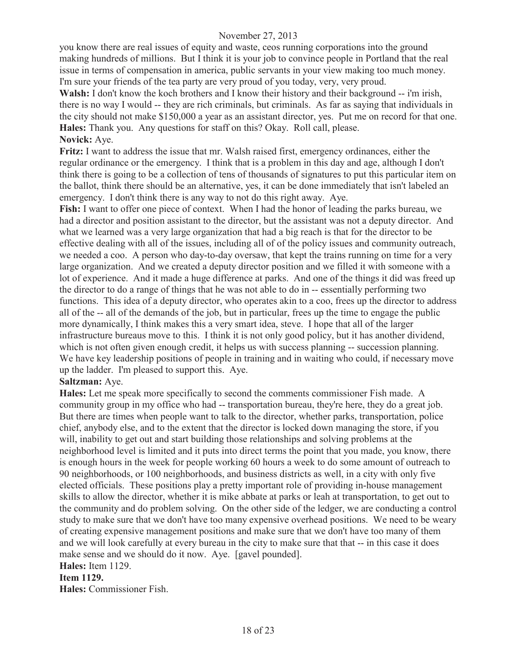you know there are real issues of equity and waste, ceos running corporations into the ground making hundreds of millions. But I think it is your job to convince people in Portland that the real issue in terms of compensation in america, public servants in your view making too much money. I'm sure your friends of the tea party are very proud of you today, very, very proud.

**Walsh:** I don't know the koch brothers and I know their history and their background -- i'm irish, there is no way I would -- they are rich criminals, but criminals. As far as saying that individuals in the city should not make \$150,000 a year as an assistant director, yes. Put me on record for that one. **Hales:** Thank you. Any questions for staff on this? Okay. Roll call, please. **Novick:** Aye.

**Fritz:** I want to address the issue that mr. Walsh raised first, emergency ordinances, either the regular ordinance or the emergency. I think that is a problem in this day and age, although I don't think there is going to be a collection of tens of thousands of signatures to put this particular item on the ballot, think there should be an alternative, yes, it can be done immediately that isn't labeled an emergency. I don't think there is any way to not do this right away. Aye.

**Fish:** I want to offer one piece of context. When I had the honor of leading the parks bureau, we had a director and position assistant to the director, but the assistant was not a deputy director. And what we learned was a very large organization that had a big reach is that for the director to be effective dealing with all of the issues, including all of of the policy issues and community outreach, we needed a coo. A person who day-to-day oversaw, that kept the trains running on time for a very large organization. And we created a deputy director position and we filled it with someone with a lot of experience. And it made a huge difference at parks. And one of the things it did was freed up the director to do a range of things that he was not able to do in -- essentially performing two functions. This idea of a deputy director, who operates akin to a coo, frees up the director to address all of the -- all of the demands of the job, but in particular, frees up the time to engage the public more dynamically, I think makes this a very smart idea, steve. I hope that all of the larger infrastructure bureaus move to this. I think it is not only good policy, but it has another dividend, which is not often given enough credit, it helps us with success planning -- succession planning. We have key leadership positions of people in training and in waiting who could, if necessary move up the ladder. I'm pleased to support this. Aye.

#### **Saltzman:** Aye.

**Hales:** Let me speak more specifically to second the comments commissioner Fish made. A community group in my office who had -- transportation bureau, they're here, they do a great job. But there are times when people want to talk to the director, whether parks, transportation, police chief, anybody else, and to the extent that the director is locked down managing the store, if you will, inability to get out and start building those relationships and solving problems at the neighborhood level is limited and it puts into direct terms the point that you made, you know, there is enough hours in the week for people working 60 hours a week to do some amount of outreach to 90 neighborhoods, or 100 neighborhoods, and business districts as well, in a city with only five elected officials. These positions play a pretty important role of providing in-house management skills to allow the director, whether it is mike abbate at parks or leah at transportation, to get out to the community and do problem solving. On the other side of the ledger, we are conducting a control study to make sure that we don't have too many expensive overhead positions. We need to be weary of creating expensive management positions and make sure that we don't have too many of them and we will look carefully at every bureau in the city to make sure that that -- in this case it does make sense and we should do it now. Aye. [gavel pounded].

#### **Hales:** Item 1129.

#### **Item 1129.**

**Hales:** Commissioner Fish.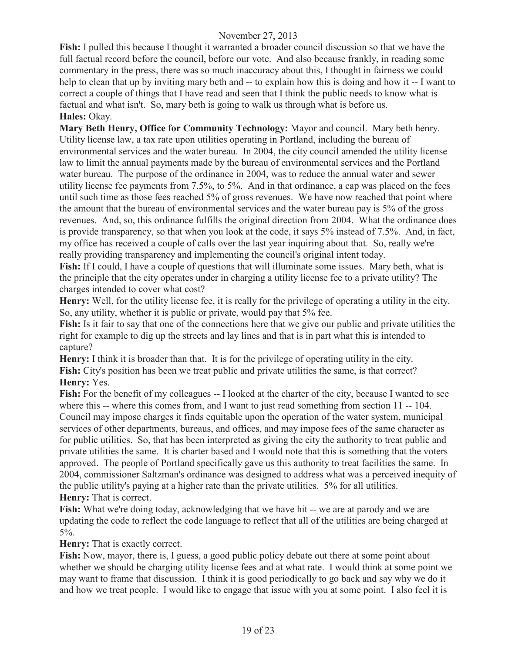**Fish:** I pulled this because I thought it warranted a broader council discussion so that we have the full factual record before the council, before our vote. And also because frankly, in reading some commentary in the press, there was so much inaccuracy about this, I thought in fairness we could help to clean that up by inviting mary beth and -- to explain how this is doing and how it -- I want to correct a couple of things that I have read and seen that I think the public needs to know what is factual and what isn't. So, mary beth is going to walk us through what is before us. **Hales:** Okay.

**Mary Beth Henry, Office for Community Technology:** Mayor and council. Mary beth henry. Utility license law, a tax rate upon utilities operating in Portland, including the bureau of environmental services and the water bureau. In 2004, the city council amended the utility license law to limit the annual payments made by the bureau of environmental services and the Portland water bureau. The purpose of the ordinance in 2004, was to reduce the annual water and sewer utility license fee payments from 7.5%, to 5%. And in that ordinance, a cap was placed on the fees until such time as those fees reached 5% of gross revenues. We have now reached that point where the amount that the bureau of environmental services and the water bureau pay is 5% of the gross revenues. And, so, this ordinance fulfills the original direction from 2004. What the ordinance does is provide transparency, so that when you look at the code, it says 5% instead of 7.5%. And, in fact, my office has received a couple of calls over the last year inquiring about that. So, really we're really providing transparency and implementing the council's original intent today.

**Fish:** If I could, I have a couple of questions that will illuminate some issues. Mary beth, what is the principle that the city operates under in charging a utility license fee to a private utility? The charges intended to cover what cost?

Henry: Well, for the utility license fee, it is really for the privilege of operating a utility in the city. So, any utility, whether it is public or private, would pay that 5% fee.

**Fish:** Is it fair to say that one of the connections here that we give our public and private utilities the right for example to dig up the streets and lay lines and that is in part what this is intended to capture?

**Henry:** I think it is broader than that. It is for the privilege of operating utility in the city. **Fish:** City's position has been we treat public and private utilities the same, is that correct? **Henry:** Yes.

**Fish:** For the benefit of my colleagues -- I looked at the charter of the city, because I wanted to see where this -- where this comes from, and I want to just read something from section 11 -- 104. Council may impose charges it finds equitable upon the operation of the water system, municipal services of other departments, bureaus, and offices, and may impose fees of the same character as for public utilities. So, that has been interpreted as giving the city the authority to treat public and private utilities the same. It is charter based and I would note that this is something that the voters approved. The people of Portland specifically gave us this authority to treat facilities the same. In 2004, commissioner Saltzman's ordinance was designed to address what was a perceived inequity of the public utility's paying at a higher rate than the private utilities. 5% for all utilities. **Henry:** That is correct.

**Fish:** What we're doing today, acknowledging that we have hit -- we are at parody and we are updating the code to reflect the code language to reflect that all of the utilities are being charged at 5%.

**Henry:** That is exactly correct.

**Fish:** Now, mayor, there is, I guess, a good public policy debate out there at some point about whether we should be charging utility license fees and at what rate. I would think at some point we may want to frame that discussion. I think it is good periodically to go back and say why we do it and how we treat people. I would like to engage that issue with you at some point. I also feel it is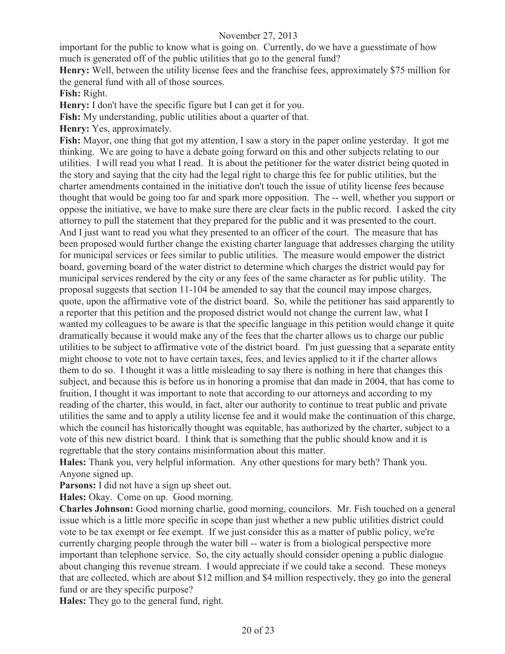important for the public to know what is going on. Currently, do we have a guesstimate of how much is generated off of the public utilities that go to the general fund?

**Henry:** Well, between the utility license fees and the franchise fees, approximately \$75 million for the general fund with all of those sources.

**Fish:** Right.

**Henry:** I don't have the specific figure but I can get it for you.

**Fish:** My understanding, public utilities about a quarter of that.

**Henry:** Yes, approximately.

**Fish:** Mayor, one thing that got my attention, I saw a story in the paper online yesterday. It got me thinking. We are going to have a debate going forward on this and other subjects relating to our utilities. I will read you what I read. It is about the petitioner for the water district being quoted in the story and saying that the city had the legal right to charge this fee for public utilities, but the charter amendments contained in the initiative don't touch the issue of utility license fees because thought that would be going too far and spark more opposition. The -- well, whether you support or oppose the initiative, we have to make sure there are clear facts in the public record. I asked the city attorney to pull the statement that they prepared for the public and it was presented to the court. And I just want to read you what they presented to an officer of the court. The measure that has been proposed would further change the existing charter language that addresses charging the utility for municipal services or fees similar to public utilities. The measure would empower the district board, governing board of the water district to determine which charges the district would pay for municipal services rendered by the city or any fees of the same character as for public utility. The proposal suggests that section 11-104 be amended to say that the council may impose charges, quote, upon the affirmative vote of the district board. So, while the petitioner has said apparently to a reporter that this petition and the proposed district would not change the current law, what I wanted my colleagues to be aware is that the specific language in this petition would change it quite dramatically because it would make any of the fees that the charter allows us to charge our public utilities to be subject to affirmative vote of the district board. I'm just guessing that a separate entity might choose to vote not to have certain taxes, fees, and levies applied to it if the charter allows them to do so. I thought it was a little misleading to say there is nothing in here that changes this subject, and because this is before us in honoring a promise that dan made in 2004, that has come to fruition, I thought it was important to note that according to our attorneys and according to my reading of the charter, this would, in fact, alter our authority to continue to treat public and private utilities the same and to apply a utility license fee and it would make the continuation of this charge, which the council has historically thought was equitable, has authorized by the charter, subject to a vote of this new district board. I think that is something that the public should know and it is regrettable that the story contains misinformation about this matter.

**Hales:** Thank you, very helpful information. Any other questions for mary beth? Thank you. Anyone signed up.

**Parsons:** I did not have a sign up sheet out.

**Hales:** Okay. Come on up. Good morning.

**Charles Johnson:** Good morning charlie, good morning, councilors. Mr. Fish touched on a general issue which is a little more specific in scope than just whether a new public utilities district could vote to be tax exempt or fee exempt. If we just consider this as a matter of public policy, we're currently charging people through the water bill -- water is from a biological perspective more important than telephone service. So, the city actually should consider opening a public dialogue about changing this revenue stream. I would appreciate if we could take a second. These moneys that are collected, which are about \$12 million and \$4 million respectively, they go into the general fund or are they specific purpose?

**Hales:** They go to the general fund, right.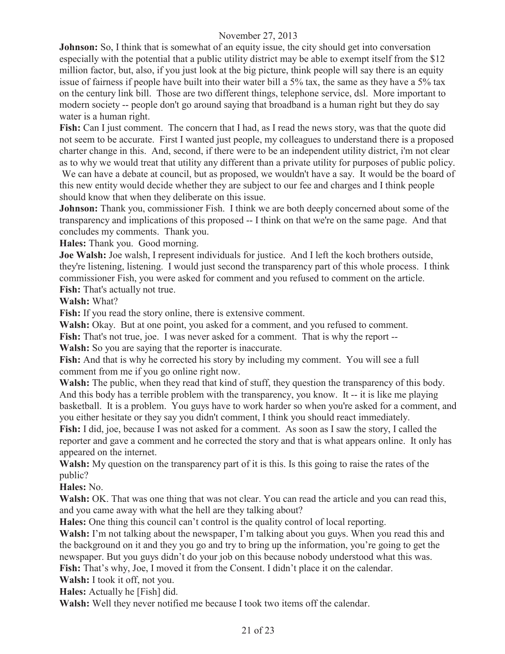**Johnson:** So, I think that is somewhat of an equity issue, the city should get into conversation especially with the potential that a public utility district may be able to exempt itself from the \$12 million factor, but, also, if you just look at the big picture, think people will say there is an equity issue of fairness if people have built into their water bill a 5% tax, the same as they have a 5% tax on the century link bill. Those are two different things, telephone service, dsl. More important to modern society -- people don't go around saying that broadband is a human right but they do say water is a human right.

**Fish:** Can I just comment. The concern that I had, as I read the news story, was that the quote did not seem to be accurate. First I wanted just people, my colleagues to understand there is a proposed charter change in this. And, second, if there were to be an independent utility district, i'm not clear as to why we would treat that utility any different than a private utility for purposes of public policy.

We can have a debate at council, but as proposed, we wouldn't have a say. It would be the board of this new entity would decide whether they are subject to our fee and charges and I think people should know that when they deliberate on this issue.

**Johnson:** Thank you, commissioner Fish. I think we are both deeply concerned about some of the transparency and implications of this proposed -- I think on that we're on the same page. And that concludes my comments. Thank you.

**Hales:** Thank you. Good morning.

**Joe Walsh:** Joe walsh, I represent individuals for justice. And I left the koch brothers outside, they're listening, listening. I would just second the transparency part of this whole process. I think commissioner Fish, you were asked for comment and you refused to comment on the article. **Fish:** That's actually not true.

**Walsh:** What?

**Fish:** If you read the story online, there is extensive comment.

**Walsh:** Okay. But at one point, you asked for a comment, and you refused to comment.

Fish: That's not true, joe. I was never asked for a comment. That is why the report --

**Walsh:** So you are saying that the reporter is inaccurate.

**Fish:** And that is why he corrected his story by including my comment. You will see a full comment from me if you go online right now.

**Walsh:** The public, when they read that kind of stuff, they question the transparency of this body. And this body has a terrible problem with the transparency, you know. It -- it is like me playing basketball. It is a problem. You guys have to work harder so when you're asked for a comment, and you either hesitate or they say you didn't comment, I think you should react immediately.

**Fish:** I did, joe, because I was not asked for a comment. As soon as I saw the story, I called the reporter and gave a comment and he corrected the story and that is what appears online. It only has appeared on the internet.

**Walsh:** My question on the transparency part of it is this. Is this going to raise the rates of the public?

**Hales:** No.

**Walsh:** OK. That was one thing that was not clear. You can read the article and you can read this, and you came away with what the hell are they talking about?

**Hales:** One thing this council can't control is the quality control of local reporting.

**Walsh:** I'm not talking about the newspaper, I'm talking about you guys. When you read this and the background on it and they you go and try to bring up the information, you're going to get the newspaper. But you guys didn't do your job on this because nobody understood what this was. **Fish:** That's why, Joe, I moved it from the Consent. I didn't place it on the calendar.

**Walsh:** I took it off, not you.

**Hales:** Actually he [Fish] did.

**Walsh:** Well they never notified me because I took two items off the calendar.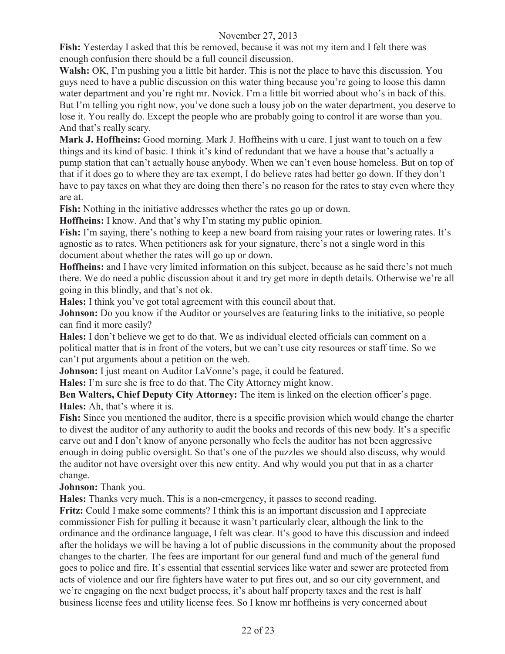**Fish:** Yesterday I asked that this be removed, because it was not my item and I felt there was enough confusion there should be a full council discussion.

**Walsh:** OK, I'm pushing you a little bit harder. This is not the place to have this discussion. You guys need to have a public discussion on this water thing because you're going to loose this damn water department and you're right mr. Novick. I'm a little bit worried about who's in back of this. But I'm telling you right now, you've done such a lousy job on the water department, you deserve to lose it. You really do. Except the people who are probably going to control it are worse than you. And that's really scary.

**Mark J. Hoffheins:** Good morning. Mark J. Hoffheins with u care. I just want to touch on a few things and its kind of basic. I think it's kind of redundant that we have a house that's actually a pump station that can't actually house anybody. When we can't even house homeless. But on top of that if it does go to where they are tax exempt, I do believe rates had better go down. If they don't have to pay taxes on what they are doing then there's no reason for the rates to stay even where they are at.

**Fish:** Nothing in the initiative addresses whether the rates go up or down.

**Hoffheins:** I know. And that's why I'm stating my public opinion.

Fish: I'm saying, there's nothing to keep a new board from raising your rates or lowering rates. It's agnostic as to rates. When petitioners ask for your signature, there's not a single word in this document about whether the rates will go up or down.

**Hoffheins:** and I have very limited information on this subject, because as he said there's not much there. We do need a public discussion about it and try get more in depth details. Otherwise we're all going in this blindly, and that's not ok.

**Hales:** I think you've got total agreement with this council about that.

**Johnson:** Do you know if the Auditor or yourselves are featuring links to the initiative, so people can find it more easily?

**Hales:** I don't believe we get to do that. We as individual elected officials can comment on a political matter that is in front of the voters, but we can't use city resources or staff time. So we can't put arguments about a petition on the web.

**Johnson:** I just meant on Auditor LaVonne's page, it could be featured.

**Hales:** I'm sure she is free to do that. The City Attorney might know.

**Ben Walters, Chief Deputy City Attorney:** The item is linked on the election officer's page. **Hales:** Ah, that's where it is.

**Fish:** Since you mentioned the auditor, there is a specific provision which would change the charter to divest the auditor of any authority to audit the books and records of this new body. It's a specific carve out and I don't know of anyone personally who feels the auditor has not been aggressive enough in doing public oversight. So that's one of the puzzles we should also discuss, why would the auditor not have oversight over this new entity. And why would you put that in as a charter change.

**Johnson:** Thank you.

**Hales:** Thanks very much. This is a non-emergency, it passes to second reading.

**Fritz:** Could I make some comments? I think this is an important discussion and I appreciate commissioner Fish for pulling it because it wasn't particularly clear, although the link to the ordinance and the ordinance language, I felt was clear. It's good to have this discussion and indeed after the holidays we will be having a lot of public discussions in the community about the proposed changes to the charter. The fees are important for our general fund and much of the general fund goes to police and fire. It's essential that essential services like water and sewer are protected from acts of violence and our fire fighters have water to put fires out, and so our city government, and we're engaging on the next budget process, it's about half property taxes and the rest is half business license fees and utility license fees. So I know mr hoffheins is very concerned about